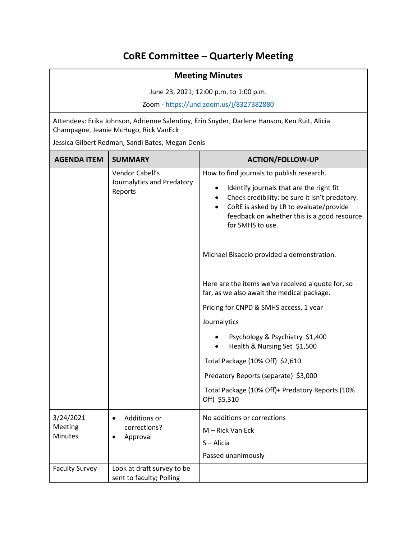## **CoRE Committee – Quarterly Meeting**

| <b>Meeting Minutes</b>                                                                                                               |                                                          |                                                                                                                                                                                                                       |  |
|--------------------------------------------------------------------------------------------------------------------------------------|----------------------------------------------------------|-----------------------------------------------------------------------------------------------------------------------------------------------------------------------------------------------------------------------|--|
| June 23, 2021; 12:00 p.m. to 1:00 p.m.                                                                                               |                                                          |                                                                                                                                                                                                                       |  |
| Zoom - https://und.zoom.us/j/8327382880                                                                                              |                                                          |                                                                                                                                                                                                                       |  |
| Attendees: Erika Johnson, Adrienne Salentiny, Erin Snyder, Darlene Hanson, Ken Ruit, Alicia<br>Champagne, Jeanie McHugo, Rick VanEck |                                                          |                                                                                                                                                                                                                       |  |
| Jessica Gilbert Redman, Sandi Bates, Megan Denis                                                                                     |                                                          |                                                                                                                                                                                                                       |  |
| <b>AGENDA ITEM</b>                                                                                                                   | <b>SUMMARY</b>                                           | <b>ACTION/FOLLOW-UP</b>                                                                                                                                                                                               |  |
|                                                                                                                                      | Vendor Cabell's<br>Journalytics and Predatory<br>Reports | How to find journals to publish research.                                                                                                                                                                             |  |
|                                                                                                                                      |                                                          | Identify journals that are the right fit<br>$\bullet$<br>Check credibility: be sure it isn't predatory.<br>CoRE is asked by LR to evaluate/provide<br>feedback on whether this is a good resource<br>for SMHS to use. |  |
|                                                                                                                                      |                                                          | Michael Bisaccio provided a demonstration.                                                                                                                                                                            |  |
|                                                                                                                                      |                                                          | Here are the items we've received a quote for, so<br>far, as we also await the medical package.                                                                                                                       |  |
|                                                                                                                                      |                                                          | Pricing for CNPD & SMHS access, 1 year                                                                                                                                                                                |  |
|                                                                                                                                      |                                                          | Journalytics                                                                                                                                                                                                          |  |
|                                                                                                                                      |                                                          | Psychology & Psychiatry \$1,400<br>Health & Nursing Set \$1,500                                                                                                                                                       |  |
|                                                                                                                                      |                                                          | Total Package (10% Off) \$2,610                                                                                                                                                                                       |  |
|                                                                                                                                      |                                                          | Predatory Reports (separate) \$3,000                                                                                                                                                                                  |  |
|                                                                                                                                      |                                                          | Total Package (10% Off)+ Predatory Reports (10%<br>Off) \$5,310                                                                                                                                                       |  |
| 3/24/2021<br>Meeting<br><b>Minutes</b>                                                                                               | Additions or<br>corrections?<br>Approval                 | No additions or corrections<br>M - Rick Van Eck<br>S-Alicia<br>Passed unanimously                                                                                                                                     |  |
| <b>Faculty Survey</b>                                                                                                                | Look at draft survey to be<br>sent to faculty; Polling   |                                                                                                                                                                                                                       |  |